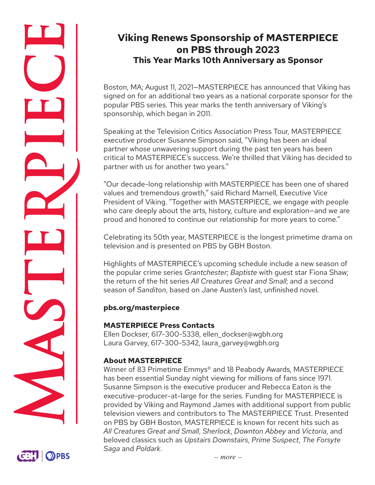# **Viking Renews Sponsorship of MASTERPIECE on PBS through 2023 This Year Marks 10th Anniversary as Sponsor**

Boston, MA; August 11, 2021—MASTERPIECE has announced that Viking has signed on for an additional two years as a national corporate sponsor for the popular PBS series. This year marks the tenth anniversary of Viking's sponsorship, which began in 2011.

Speaking at the Television Critics Association Press Tour, MASTERPIECE executive producer Susanne Simpson said, "Viking has been an ideal partner whose unwavering support during the past ten years has been critical to MASTERPIECE's success. We're thrilled that Viking has decided to partner with us for another two years."

"Our decade-long relationship with MASTERPIECE has been one of shared values and tremendous growth," said Richard Marnell, Executive Vice President of Viking. "Together with MASTERPIECE, we engage with people who care deeply about the arts, history, culture and exploration—and we are proud and honored to continue our relationship for more years to come."

Celebrating its 50th year, MASTERPIECE is the longest primetime drama on television and is presented on PBS by GBH Boston.

Highlights of MASTERPIECE's upcoming schedule include a new season of the popular crime series *Grantchester*; *Baptiste* with guest star Fiona Shaw; the return of the hit series *All Creatures Great and Small*; and a second season of *Sanditon*, based on Jane Austen's last, unfinished novel.

# **pbs.org/masterpiece**

# **MASTERPIECE Press Contacts**

Ellen Dockser, 617-300-5338, ellen\_dockser@wgbh.org Laura Garvey, 617-300-5342, laura\_garvey@wgbh.org

# **About MASTERPIECE**

Winner of 83 Primetime Emmys® and 18 Peabody Awards, MASTERPIECE has been essential Sunday night viewing for millions of fans since 1971. Susanne Simpson is the executive producer and Rebecca Eaton is the executive-producer-at-large for the series. Funding for MASTERPIECE is provided by Viking and Raymond James with additional support from public television viewers and contributors to The MASTERPIECE Trust. Presented on PBS by GBH Boston, MASTERPIECE is known for recent hits such as *All Creatures Great and Small*, *Sherlock*, *Downton Abbey* and *Victoria*, and beloved classics such as *Upstairs Downstairs*, *Prime Suspect*, *The Forsyte Saga* and *Poldark*.